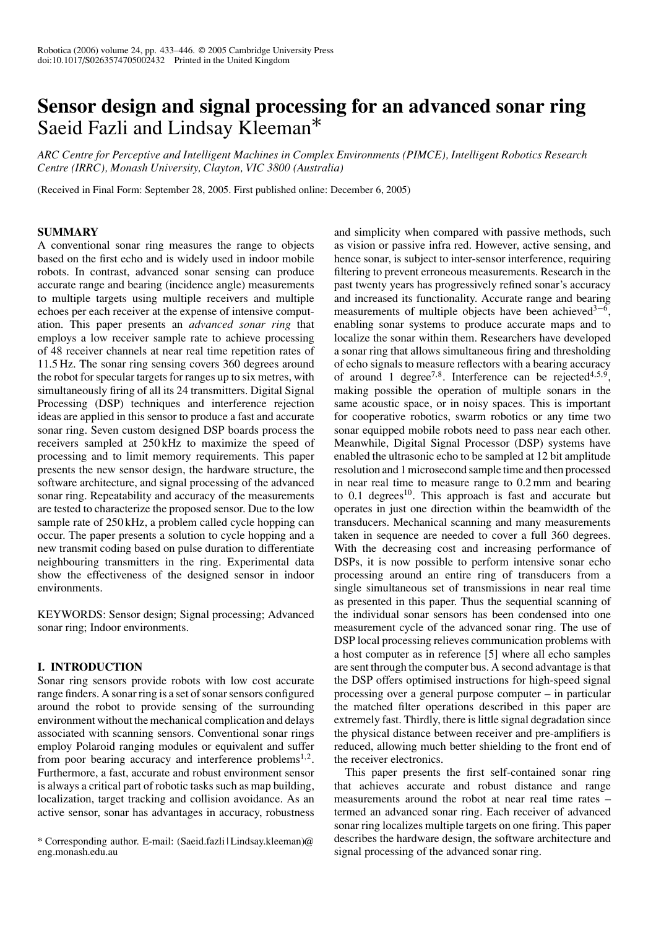# **Sensor design and signal processing for an advanced sonar ring** Saeid Fazli and Lindsay Kleeman<sup>\*</sup>

*ARC Centre for Perceptive and Intelligent Machines in Complex Environments (PIMCE), Intelligent Robotics Research Centre (IRRC), Monash University, Clayton, VIC 3800 (Australia)*

(Received in Final Form: September 28, 2005. First published online: December 6, 2005)

# **SUMMARY**

A conventional sonar ring measures the range to objects based on the first echo and is widely used in indoor mobile robots. In contrast, advanced sonar sensing can produce accurate range and bearing (incidence angle) measurements to multiple targets using multiple receivers and multiple echoes per each receiver at the expense of intensive computation. This paper presents an *advanced sonar ring* that employs a low receiver sample rate to achieve processing of 48 receiver channels at near real time repetition rates of 11.5 Hz. The sonar ring sensing covers 360 degrees around the robot for specular targets for ranges up to six metres, with simultaneously firing of all its 24 transmitters. Digital Signal Processing (DSP) techniques and interference rejection ideas are applied in this sensor to produce a fast and accurate sonar ring. Seven custom designed DSP boards process the receivers sampled at 250 kHz to maximize the speed of processing and to limit memory requirements. This paper presents the new sensor design, the hardware structure, the software architecture, and signal processing of the advanced sonar ring. Repeatability and accuracy of the measurements are tested to characterize the proposed sensor. Due to the low sample rate of 250 kHz, a problem called cycle hopping can occur. The paper presents a solution to cycle hopping and a new transmit coding based on pulse duration to differentiate neighbouring transmitters in the ring. Experimental data show the effectiveness of the designed sensor in indoor environments.

KEYWORDS: Sensor design; Signal processing; Advanced sonar ring; Indoor environments.

# **I. INTRODUCTION**

Sonar ring sensors provide robots with low cost accurate range finders. A sonar ring is a set of sonar sensors configured around the robot to provide sensing of the surrounding environment without the mechanical complication and delays associated with scanning sensors. Conventional sonar rings employ Polaroid ranging modules or equivalent and suffer from poor bearing accuracy and interference problems<sup>1,2</sup>. Furthermore, a fast, accurate and robust environment sensor is always a critical part of robotic tasks such as map building, localization, target tracking and collision avoidance. As an active sensor, sonar has advantages in accuracy, robustness

and simplicity when compared with passive methods, such as vision or passive infra red. However, active sensing, and hence sonar, is subject to inter-sensor interference, requiring filtering to prevent erroneous measurements. Research in the past twenty years has progressively refined sonar's accuracy and increased its functionality. Accurate range and bearing measurements of multiple objects have been achieved<sup>3−6</sup>, enabling sonar systems to produce accurate maps and to localize the sonar within them. Researchers have developed a sonar ring that allows simultaneous firing and thresholding of echo signals to measure reflectors with a bearing accuracy of around 1 degree<sup>7,8</sup>. Interference can be rejected<sup>4,5,9</sup>, making possible the operation of multiple sonars in the same acoustic space, or in noisy spaces. This is important for cooperative robotics, swarm robotics or any time two sonar equipped mobile robots need to pass near each other. Meanwhile, Digital Signal Processor (DSP) systems have enabled the ultrasonic echo to be sampled at 12 bit amplitude resolution and 1 microsecond sample time and then processed in near real time to measure range to 0.2 mm and bearing to  $0.1$  degrees<sup>10</sup>. This approach is fast and accurate but operates in just one direction within the beamwidth of the transducers. Mechanical scanning and many measurements taken in sequence are needed to cover a full 360 degrees. With the decreasing cost and increasing performance of DSPs, it is now possible to perform intensive sonar echo processing around an entire ring of transducers from a single simultaneous set of transmissions in near real time as presented in this paper. Thus the sequential scanning of the individual sonar sensors has been condensed into one measurement cycle of the advanced sonar ring. The use of DSP local processing relieves communication problems with a host computer as in reference [5] where all echo samples are sent through the computer bus. A second advantage is that the DSP offers optimised instructions for high-speed signal processing over a general purpose computer – in particular the matched filter operations described in this paper are extremely fast. Thirdly, there is little signal degradation since the physical distance between receiver and pre-amplifiers is reduced, allowing much better shielding to the front end of the receiver electronics.

This paper presents the first self-contained sonar ring that achieves accurate and robust distance and range measurements around the robot at near real time rates – termed an advanced sonar ring. Each receiver of advanced sonar ring localizes multiple targets on one firing. This paper describes the hardware design, the software architecture and signal processing of the advanced sonar ring.

<sup>\*</sup> Corresponding author. E-mail: (Saeid.fazli | Lindsay.kleeman)@ eng.monash.edu.au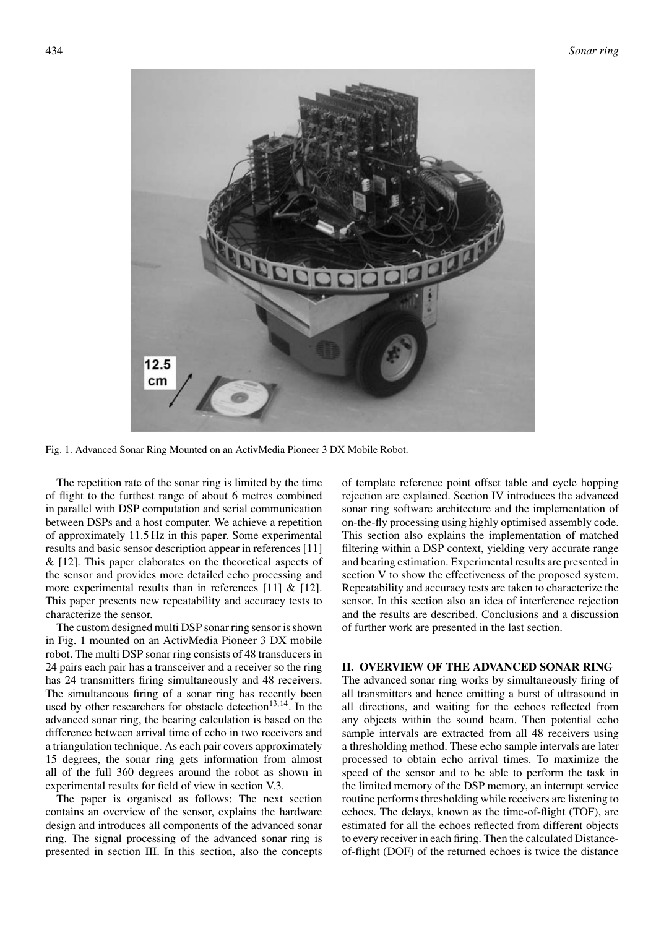

Fig. 1. Advanced Sonar Ring Mounted on an ActivMedia Pioneer 3 DX Mobile Robot.

The repetition rate of the sonar ring is limited by the time of flight to the furthest range of about 6 metres combined in parallel with DSP computation and serial communication between DSPs and a host computer. We achieve a repetition of approximately 11.5 Hz in this paper. Some experimental results and basic sensor description appear in references [11]  $\&$  [12]. This paper elaborates on the theoretical aspects of the sensor and provides more detailed echo processing and more experimental results than in references [11]  $\&$  [12]. This paper presents new repeatability and accuracy tests to characterize the sensor.

The custom designed multi DSP sonar ring sensor is shown in Fig. 1 mounted on an ActivMedia Pioneer 3 DX mobile robot. The multi DSP sonar ring consists of 48 transducers in 24 pairs each pair has a transceiver and a receiver so the ring has 24 transmitters firing simultaneously and 48 receivers. The simultaneous firing of a sonar ring has recently been used by other researchers for obstacle detection<sup>13,14</sup>. In the advanced sonar ring, the bearing calculation is based on the difference between arrival time of echo in two receivers and a triangulation technique. As each pair covers approximately 15 degrees, the sonar ring gets information from almost all of the full 360 degrees around the robot as shown in experimental results for field of view in section V.3.

The paper is organised as follows: The next section contains an overview of the sensor, explains the hardware design and introduces all components of the advanced sonar ring. The signal processing of the advanced sonar ring is presented in section III. In this section, also the concepts of template reference point offset table and cycle hopping rejection are explained. Section IV introduces the advanced sonar ring software architecture and the implementation of on-the-fly processing using highly optimised assembly code. This section also explains the implementation of matched filtering within a DSP context, yielding very accurate range and bearing estimation. Experimental results are presented in section V to show the effectiveness of the proposed system. Repeatability and accuracy tests are taken to characterize the sensor. In this section also an idea of interference rejection and the results are described. Conclusions and a discussion of further work are presented in the last section.

## **II. OVERVIEW OF THE ADVANCED SONAR RING**

The advanced sonar ring works by simultaneously firing of all transmitters and hence emitting a burst of ultrasound in all directions, and waiting for the echoes reflected from any objects within the sound beam. Then potential echo sample intervals are extracted from all 48 receivers using a thresholding method. These echo sample intervals are later processed to obtain echo arrival times. To maximize the speed of the sensor and to be able to perform the task in the limited memory of the DSP memory, an interrupt service routine performs thresholding while receivers are listening to echoes. The delays, known as the time-of-flight (TOF), are estimated for all the echoes reflected from different objects to every receiver in each firing. Then the calculated Distanceof-flight (DOF) of the returned echoes is twice the distance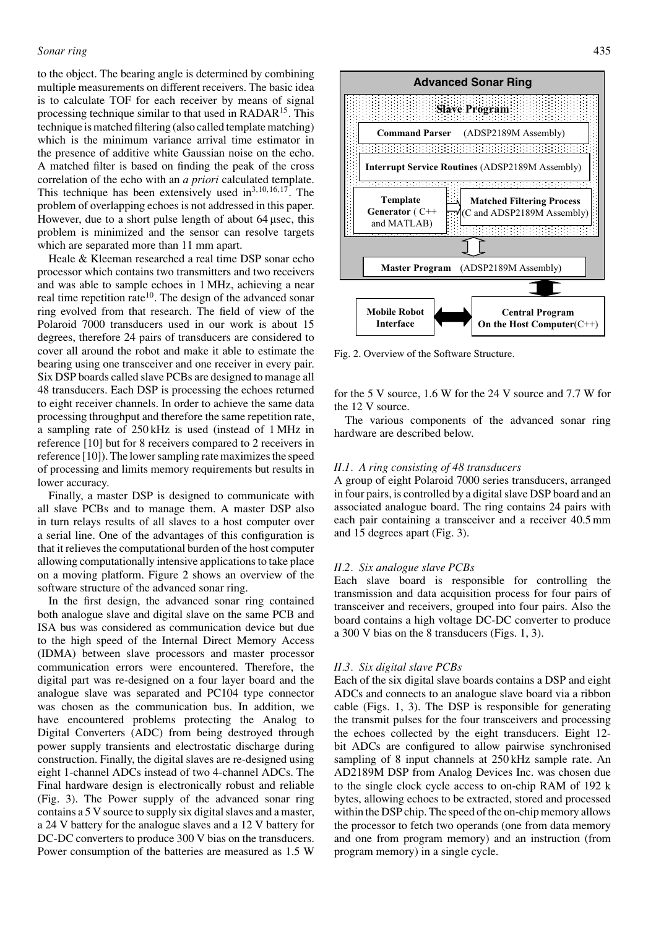to the object. The bearing angle is determined by combining multiple measurements on different receivers. The basic idea is to calculate TOF for each receiver by means of signal processing technique similar to that used in RADAR15. This technique is matched filtering (also called template matching) which is the minimum variance arrival time estimator in the presence of additive white Gaussian noise on the echo. A matched filter is based on finding the peak of the cross correlation of the echo with an *a priori* calculated template. This technique has been extensively used in3*,*10*,*16*,*17. The problem of overlapping echoes is not addressed in this paper. However, due to a short pulse length of about 64 µsec, this problem is minimized and the sensor can resolve targets which are separated more than 11 mm apart.

Heale & Kleeman researched a real time DSP sonar echo processor which contains two transmitters and two receivers and was able to sample echoes in 1 MHz, achieving a near real time repetition rate<sup>10</sup>. The design of the advanced sonar ring evolved from that research. The field of view of the Polaroid 7000 transducers used in our work is about 15 degrees, therefore 24 pairs of transducers are considered to cover all around the robot and make it able to estimate the bearing using one transceiver and one receiver in every pair. Six DSP boards called slave PCBs are designed to manage all 48 transducers. Each DSP is processing the echoes returned to eight receiver channels. In order to achieve the same data processing throughput and therefore the same repetition rate, a sampling rate of 250 kHz is used (instead of 1 MHz in reference [10] but for 8 receivers compared to 2 receivers in reference [10]). The lower sampling rate maximizes the speed of processing and limits memory requirements but results in lower accuracy.

Finally, a master DSP is designed to communicate with all slave PCBs and to manage them. A master DSP also in turn relays results of all slaves to a host computer over a serial line. One of the advantages of this configuration is that it relieves the computational burden of the host computer allowing computationally intensive applications to take place on a moving platform. Figure 2 shows an overview of the software structure of the advanced sonar ring.

In the first design, the advanced sonar ring contained both analogue slave and digital slave on the same PCB and ISA bus was considered as communication device but due to the high speed of the Internal Direct Memory Access (IDMA) between slave processors and master processor communication errors were encountered. Therefore, the digital part was re-designed on a four layer board and the analogue slave was separated and PC104 type connector was chosen as the communication bus. In addition, we have encountered problems protecting the Analog to Digital Converters (ADC) from being destroyed through power supply transients and electrostatic discharge during construction. Finally, the digital slaves are re-designed using eight 1-channel ADCs instead of two 4-channel ADCs. The Final hardware design is electronically robust and reliable (Fig. 3). The Power supply of the advanced sonar ring contains a 5 V source to supply six digital slaves and a master, a 24 V battery for the analogue slaves and a 12 V battery for DC-DC converters to produce 300 V bias on the transducers. Power consumption of the batteries are measured as 1.5 W



Fig. 2. Overview of the Software Structure.

for the 5 V source, 1.6 W for the 24 V source and 7.7 W for the 12 V source.

The various components of the advanced sonar ring hardware are described below.

## *II.1. A ring consisting of 48 transducers*

A group of eight Polaroid 7000 series transducers, arranged in four pairs, is controlled by a digital slave DSP board and an associated analogue board. The ring contains 24 pairs with each pair containing a transceiver and a receiver 40.5 mm and 15 degrees apart (Fig. 3).

#### *II.2. Six analogue slave PCBs*

Each slave board is responsible for controlling the transmission and data acquisition process for four pairs of transceiver and receivers, grouped into four pairs. Also the board contains a high voltage DC-DC converter to produce a 300 V bias on the 8 transducers (Figs. 1, 3).

#### *II.3. Six digital slave PCBs*

Each of the six digital slave boards contains a DSP and eight ADCs and connects to an analogue slave board via a ribbon cable (Figs. 1, 3). The DSP is responsible for generating the transmit pulses for the four transceivers and processing the echoes collected by the eight transducers. Eight 12 bit ADCs are configured to allow pairwise synchronised sampling of 8 input channels at  $250$  kHz sample rate. An AD2189M DSP from Analog Devices Inc. was chosen due to the single clock cycle access to on-chip RAM of 192 k bytes, allowing echoes to be extracted, stored and processed within the DSP chip. The speed of the on-chip memory allows the processor to fetch two operands (one from data memory and one from program memory) and an instruction (from program memory) in a single cycle.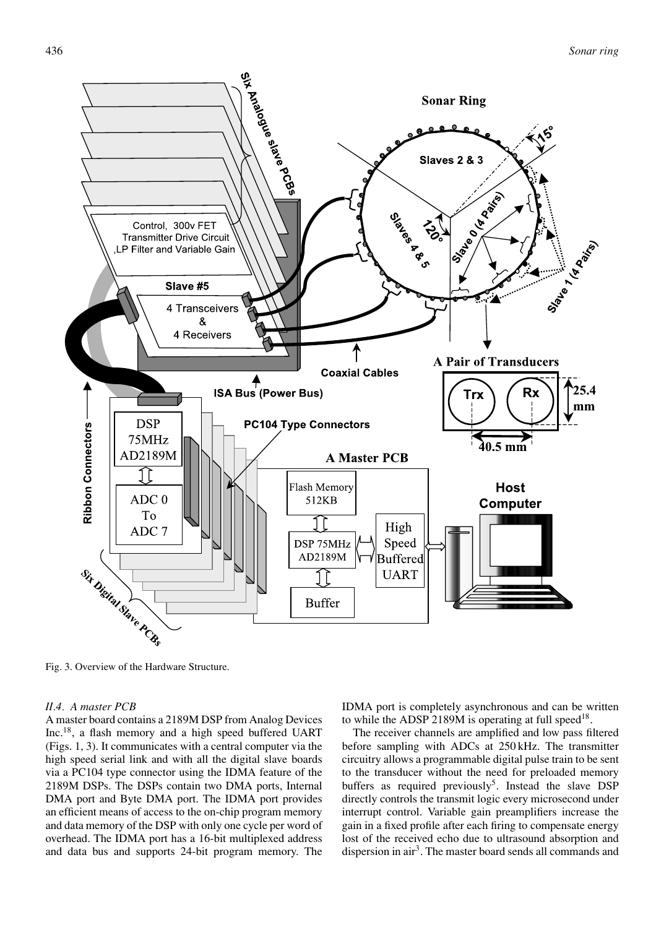

Fig. 3. Overview of the Hardware Structure.

# *II.4. A master PCB*

A master board contains a 2189M DSP from Analog Devices Inc.18, a flash memory and a high speed buffered UART (Figs. 1, 3). It communicates with a central computer via the high speed serial link and with all the digital slave boards via a PC104 type connector using the IDMA feature of the 2189M DSPs. The DSPs contain two DMA ports, Internal DMA port and Byte DMA port. The IDMA port provides an efficient means of access to the on-chip program memory and data memory of the DSP with only one cycle per word of overhead. The IDMA port has a 16-bit multiplexed address and data bus and supports 24-bit program memory. The IDMA port is completely asynchronous and can be written to while the ADSP 2189M is operating at full speed<sup>18</sup>.

The receiver channels are amplified and low pass filtered before sampling with ADCs at 250 kHz. The transmitter circuitry allows a programmable digital pulse train to be sent to the transducer without the need for preloaded memory buffers as required previously<sup>5</sup>. Instead the slave DSP directly controls the transmit logic every microsecond under interrupt control. Variable gain preamplifiers increase the gain in a fixed profile after each firing to compensate energy lost of the received echo due to ultrasound absorption and dispersion in air<sup>3</sup>. The master board sends all commands and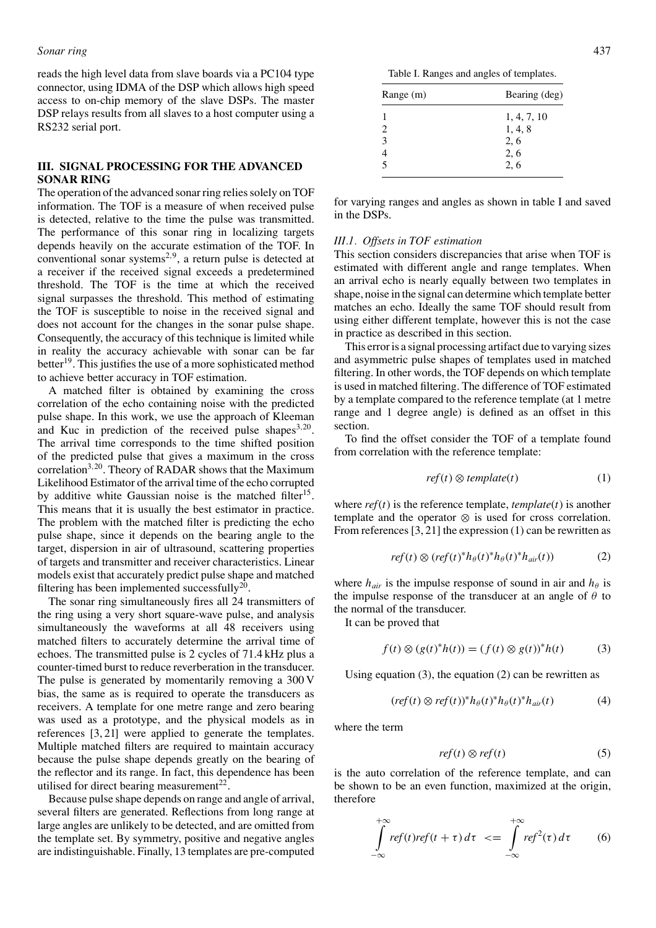## *Sonar ring* 437

reads the high level data from slave boards via a PC104 type connector, using IDMA of the DSP which allows high speed access to on-chip memory of the slave DSPs. The master DSP relays results from all slaves to a host computer using a RS232 serial port.

## **III. SIGNAL PROCESSING FOR THE ADVANCED SONAR RING**

The operation of the advanced sonar ring relies solely on TOF information. The TOF is a measure of when received pulse is detected, relative to the time the pulse was transmitted. The performance of this sonar ring in localizing targets depends heavily on the accurate estimation of the TOF. In conventional sonar systems<sup>2,9</sup>, a return pulse is detected at a receiver if the received signal exceeds a predetermined threshold. The TOF is the time at which the received signal surpasses the threshold. This method of estimating the TOF is susceptible to noise in the received signal and does not account for the changes in the sonar pulse shape. Consequently, the accuracy of this technique is limited while in reality the accuracy achievable with sonar can be far better<sup>19</sup>. This justifies the use of a more sophisticated method to achieve better accuracy in TOF estimation.

A matched filter is obtained by examining the cross correlation of the echo containing noise with the predicted pulse shape. In this work, we use the approach of Kleeman and Kuc in prediction of the received pulse shapes<sup>3,20</sup>. The arrival time corresponds to the time shifted position of the predicted pulse that gives a maximum in the cross correlation<sup>3,20</sup>. Theory of RADAR shows that the Maximum Likelihood Estimator of the arrival time of the echo corrupted by additive white Gaussian noise is the matched filter<sup>15</sup>. This means that it is usually the best estimator in practice. The problem with the matched filter is predicting the echo pulse shape, since it depends on the bearing angle to the target, dispersion in air of ultrasound, scattering properties of targets and transmitter and receiver characteristics. Linear models exist that accurately predict pulse shape and matched filtering has been implemented successfully<sup>20</sup>.

The sonar ring simultaneously fires all 24 transmitters of the ring using a very short square-wave pulse, and analysis simultaneously the waveforms at all 48 receivers using matched filters to accurately determine the arrival time of echoes. The transmitted pulse is 2 cycles of 71.4 kHz plus a counter-timed burst to reduce reverberation in the transducer. The pulse is generated by momentarily removing a 300 V bias, the same as is required to operate the transducers as receivers. A template for one metre range and zero bearing was used as a prototype, and the physical models as in references [3, 21] were applied to generate the templates. Multiple matched filters are required to maintain accuracy because the pulse shape depends greatly on the bearing of the reflector and its range. In fact, this dependence has been utilised for direct bearing measurement $^{22}$ .

Because pulse shape depends on range and angle of arrival, several filters are generated. Reflections from long range at large angles are unlikely to be detected, and are omitted from the template set. By symmetry, positive and negative angles are indistinguishable. Finally, 13 templates are pre-computed

| Range (m)                   | Bearing (deg) |
|-----------------------------|---------------|
|                             | 1, 4, 7, 10   |
| $\mathcal{D}_{\mathcal{L}}$ | 1, 4, 8       |
| 3                           | 2, 6          |
| 4                           | 2, 6          |
| $\overline{\phantom{0}}$    | 2.6           |
|                             |               |

for varying ranges and angles as shown in table I and saved in the DSPs.

## *III.1. Offsets in TOF estimation*

This section considers discrepancies that arise when TOF is estimated with different angle and range templates. When an arrival echo is nearly equally between two templates in shape, noise in the signal can determine which template better matches an echo. Ideally the same TOF should result from using either different template, however this is not the case in practice as described in this section.

This error is a signal processing artifact due to varying sizes and asymmetric pulse shapes of templates used in matched filtering. In other words, the TOF depends on which template is used in matched filtering. The difference of TOF estimated by a template compared to the reference template (at 1 metre range and 1 degree angle) is defined as an offset in this section.

To find the offset consider the TOF of a template found from correlation with the reference template:

$$
ref(t) \otimes template(t) \tag{1}
$$

where  $ref(t)$  is the reference template, *template* $(t)$  is another template and the operator ⊗ is used for cross correlation. From references [3, 21] the expression (1) can be rewritten as

$$
ref(t) \otimes (ref(t)^*h_{\theta}(t)^*h_{\theta}(t)^*h_{air}(t)) \qquad (2)
$$

where  $h_{air}$  is the impulse response of sound in air and  $h_{\theta}$  is the impulse response of the transducer at an angle of *θ* to the normal of the transducer.

It can be proved that

$$
f(t) \otimes (g(t)^{*}h(t)) = (f(t) \otimes g(t))^{*}h(t) \tag{3}
$$

Using equation  $(3)$ , the equation  $(2)$  can be rewritten as

$$
(ref(t) \otimes ref(t))^* h_{\theta}(t)^* h_{\theta}(t)^* h_{air}(t) \tag{4}
$$

where the term

$$
ref(t) \otimes ref(t) \tag{5}
$$

is the auto correlation of the reference template, and can be shown to be an even function, maximized at the origin, therefore

$$
\int_{-\infty}^{+\infty} ref(t)ref(t+\tau) d\tau \leq \int_{-\infty}^{+\infty} ref^{2}(\tau) d\tau \qquad (6)
$$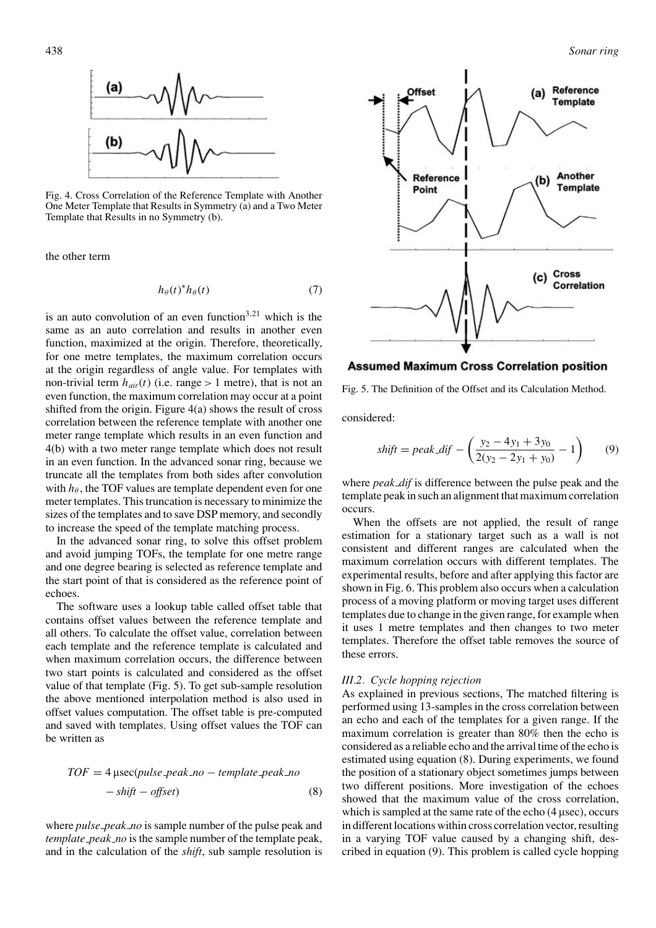

Fig. 4. Cross Correlation of the Reference Template with Another One Meter Template that Results in Symmetry (a) and a Two Meter Template that Results in no Symmetry (b).

the other term

$$
h_{\theta}(t)^* h_{\theta}(t) \tag{7}
$$

is an auto convolution of an even function3*,*<sup>21</sup> which is the same as an auto correlation and results in another even function, maximized at the origin. Therefore, theoretically, for one metre templates, the maximum correlation occurs at the origin regardless of angle value. For templates with non-trivial term  $h_{air}(t)$  (i.e. range  $> 1$  metre), that is not an even function, the maximum correlation may occur at a point shifted from the origin. Figure  $4(a)$  shows the result of cross correlation between the reference template with another one meter range template which results in an even function and 4(b) with a two meter range template which does not result in an even function. In the advanced sonar ring, because we truncate all the templates from both sides after convolution with  $h_{\theta}$ , the TOF values are template dependent even for one meter templates. This truncation is necessary to minimize the sizes of the templates and to save DSP memory, and secondly to increase the speed of the template matching process.

In the advanced sonar ring, to solve this offset problem and avoid jumping TOFs, the template for one metre range and one degree bearing is selected as reference template and the start point of that is considered as the reference point of echoes.

The software uses a lookup table called offset table that contains offset values between the reference template and all others. To calculate the offset value, correlation between each template and the reference template is calculated and when maximum correlation occurs, the difference between two start points is calculated and considered as the offset value of that template (Fig. 5). To get sub-sample resolution the above mentioned interpolation method is also used in offset values computation. The offset table is pre-computed and saved with templates. Using offset values the TOF can be written as

$$
TOF = 4 \mu \sec(pulse\_\npeak\_\nno - template\_\npeak\_\nno - shift - offset)
$$
\n(8)

where *pulse peak no* is sample number of the pulse peak and *template peak no* is the sample number of the template peak, and in the calculation of the *shift*, sub sample resolution is



**Assumed Maximum Cross Correlation position** 

Fig. 5. The Definition of the Offset and its Calculation Method.

considered:

$$
shift = peak\_dif - \left(\frac{y_2 - 4y_1 + 3y_0}{2(y_2 - 2y_1 + y_0)} - 1\right) \tag{9}
$$

where *peak dif* is difference between the pulse peak and the template peak in such an alignment that maximum correlation occurs.

When the offsets are not applied, the result of range estimation for a stationary target such as a wall is not consistent and different ranges are calculated when the maximum correlation occurs with different templates. The experimental results, before and after applying this factor are shown in Fig. 6. This problem also occurs when a calculation process of a moving platform or moving target uses different templates due to change in the given range, for example when it uses 1 metre templates and then changes to two meter templates. Therefore the offset table removes the source of these errors.

## *III.2. Cycle hopping rejection*

As explained in previous sections, The matched filtering is performed using 13-samples in the cross correlation between an echo and each of the templates for a given range. If the maximum correlation is greater than 80% then the echo is considered as a reliable echo and the arrival time of the echo is estimated using equation (8). During experiments, we found the position of a stationary object sometimes jumps between two different positions. More investigation of the echoes showed that the maximum value of the cross correlation, which is sampled at the same rate of the echo (4 µsec), occurs in different locations within cross correlation vector, resulting in a varying TOF value caused by a changing shift, described in equation (9). This problem is called cycle hopping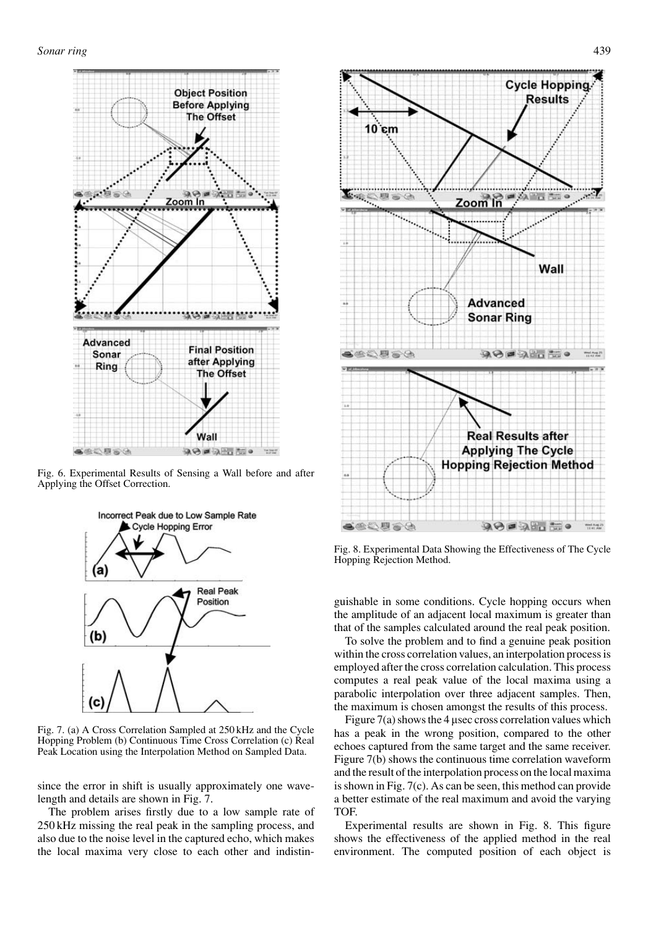

Fig. 6. Experimental Results of Sensing a Wall before and after Applying the Offset Correction.



Fig. 7. (a) A Cross Correlation Sampled at 250 kHz and the Cycle Hopping Problem (b) Continuous Time Cross Correlation (c) Real Peak Location using the Interpolation Method on Sampled Data.

since the error in shift is usually approximately one wavelength and details are shown in Fig. 7.

The problem arises firstly due to a low sample rate of 250 kHz missing the real peak in the sampling process, and also due to the noise level in the captured echo, which makes the local maxima very close to each other and indistin-



Fig. 8. Experimental Data Showing the Effectiveness of The Cycle Hopping Rejection Method.

guishable in some conditions. Cycle hopping occurs when the amplitude of an adjacent local maximum is greater than that of the samples calculated around the real peak position.

To solve the problem and to find a genuine peak position within the cross correlation values, an interpolation process is employed after the cross correlation calculation. This process computes a real peak value of the local maxima using a parabolic interpolation over three adjacent samples. Then, the maximum is chosen amongst the results of this process.

Figure 7(a) shows the 4 µsec cross correlation values which has a peak in the wrong position, compared to the other echoes captured from the same target and the same receiver. Figure 7(b) shows the continuous time correlation waveform and the result of the interpolation process on the local maxima is shown in Fig. 7(c). As can be seen, this method can provide a better estimate of the real maximum and avoid the varying TOF.

Experimental results are shown in Fig. 8. This figure shows the effectiveness of the applied method in the real environment. The computed position of each object is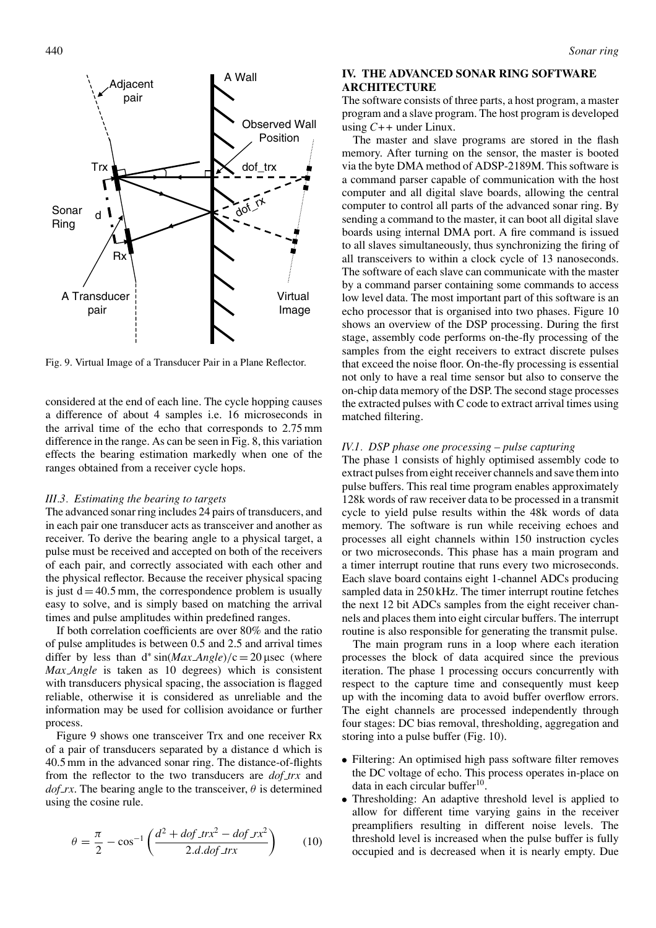

Fig. 9. Virtual Image of a Transducer Pair in a Plane Reflector.

considered at the end of each line. The cycle hopping causes a difference of about 4 samples i.e. 16 microseconds in the arrival time of the echo that corresponds to 2.75 mm difference in the range. As can be seen in Fig. 8, this variation effects the bearing estimation markedly when one of the ranges obtained from a receiver cycle hops.

## *III.3. Estimating the bearing to targets*

The advanced sonar ring includes 24 pairs of transducers, and in each pair one transducer acts as transceiver and another as receiver. To derive the bearing angle to a physical target, a pulse must be received and accepted on both of the receivers of each pair, and correctly associated with each other and the physical reflector. Because the receiver physical spacing is just  $d = 40.5$  mm, the correspondence problem is usually easy to solve, and is simply based on matching the arrival times and pulse amplitudes within predefined ranges.

If both correlation coefficients are over 80% and the ratio of pulse amplitudes is between 0.5 and 2.5 and arrival times differ by less than  $d^* \sin(Max \text{ Angle})/c = 20 \mu \sec$  (where *Max Angle* is taken as 10 degrees) which is consistent with transducers physical spacing, the association is flagged reliable, otherwise it is considered as unreliable and the information may be used for collision avoidance or further process.

Figure 9 shows one transceiver Trx and one receiver Rx of a pair of transducers separated by a distance d which is 40.5 mm in the advanced sonar ring. The distance-of-flights from the reflector to the two transducers are *dof trx* and  $dof$  *rx*. The bearing angle to the transceiver,  $\theta$  is determined using the cosine rule.

$$
\theta = \frac{\pi}{2} - \cos^{-1}\left(\frac{d^2 + dof\_trx^2 - dof\_rx^2}{2.d.dof\_trx}\right) \tag{10}
$$

# **IV. THE ADVANCED SONAR RING SOFTWARE ARCHITECTURE**

The software consists of three parts, a host program, a master program and a slave program. The host program is developed using *C++* under Linux.

The master and slave programs are stored in the flash memory. After turning on the sensor, the master is booted via the byte DMA method of ADSP-2189M. This software is a command parser capable of communication with the host computer and all digital slave boards, allowing the central computer to control all parts of the advanced sonar ring. By sending a command to the master, it can boot all digital slave boards using internal DMA port. A fire command is issued to all slaves simultaneously, thus synchronizing the firing of all transceivers to within a clock cycle of 13 nanoseconds. The software of each slave can communicate with the master by a command parser containing some commands to access low level data. The most important part of this software is an echo processor that is organised into two phases. Figure 10 shows an overview of the DSP processing. During the first stage, assembly code performs on-the-fly processing of the samples from the eight receivers to extract discrete pulses that exceed the noise floor. On-the-fly processing is essential not only to have a real time sensor but also to conserve the on-chip data memory of the DSP. The second stage processes the extracted pulses with C code to extract arrival times using matched filtering.

## *IV.1. DSP phase one processing – pulse capturing*

The phase 1 consists of highly optimised assembly code to extract pulses from eight receiver channels and save them into pulse buffers. This real time program enables approximately 128k words of raw receiver data to be processed in a transmit cycle to yield pulse results within the 48k words of data memory. The software is run while receiving echoes and processes all eight channels within 150 instruction cycles or two microseconds. This phase has a main program and a timer interrupt routine that runs every two microseconds. Each slave board contains eight 1-channel ADCs producing sampled data in 250 kHz. The timer interrupt routine fetches the next 12 bit ADCs samples from the eight receiver channels and places them into eight circular buffers. The interrupt routine is also responsible for generating the transmit pulse.

The main program runs in a loop where each iteration processes the block of data acquired since the previous iteration. The phase 1 processing occurs concurrently with respect to the capture time and consequently must keep up with the incoming data to avoid buffer overflow errors. The eight channels are processed independently through four stages: DC bias removal, thresholding, aggregation and storing into a pulse buffer (Fig. 10).

- Filtering: An optimised high pass software filter removes the DC voltage of echo. This process operates in-place on data in each circular buffer $10$
- Thresholding: An adaptive threshold level is applied to allow for different time varying gains in the receiver preamplifiers resulting in different noise levels. The threshold level is increased when the pulse buffer is fully occupied and is decreased when it is nearly empty. Due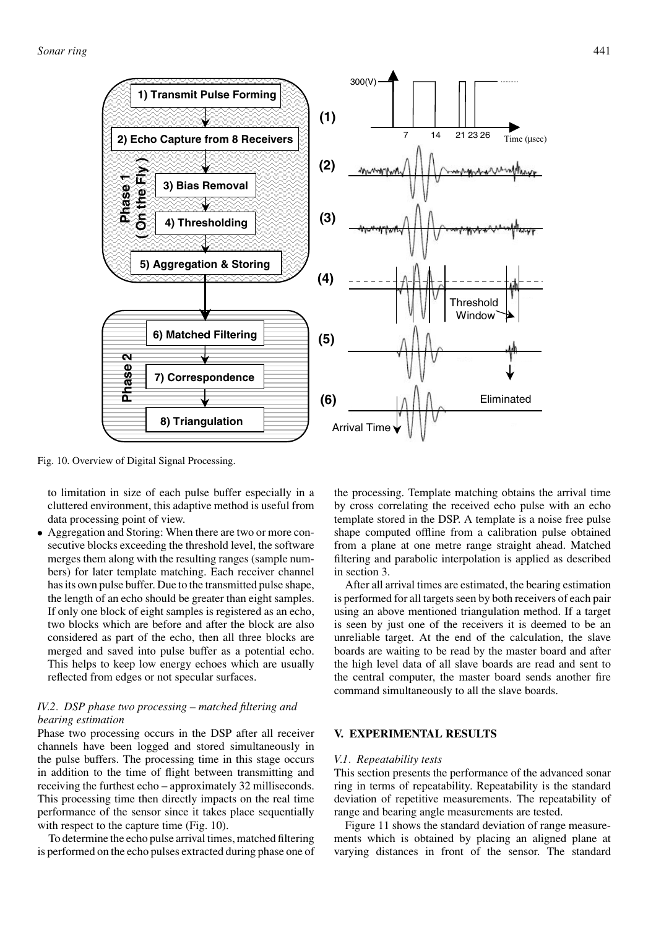

Fig. 10. Overview of Digital Signal Processing.

to limitation in size of each pulse buffer especially in a cluttered environment, this adaptive method is useful from data processing point of view.

• Aggregation and Storing: When there are two or more consecutive blocks exceeding the threshold level, the software merges them along with the resulting ranges (sample numbers) for later template matching. Each receiver channel has its own pulse buffer. Due to the transmitted pulse shape, the length of an echo should be greater than eight samples. If only one block of eight samples is registered as an echo, two blocks which are before and after the block are also considered as part of the echo, then all three blocks are merged and saved into pulse buffer as a potential echo. This helps to keep low energy echoes which are usually reflected from edges or not specular surfaces.

# *IV.2. DSP phase two processing – matched filtering and bearing estimation*

Phase two processing occurs in the DSP after all receiver channels have been logged and stored simultaneously in the pulse buffers. The processing time in this stage occurs in addition to the time of flight between transmitting and receiving the furthest echo – approximately 32 milliseconds. This processing time then directly impacts on the real time performance of the sensor since it takes place sequentially with respect to the capture time (Fig. 10).

To determine the echo pulse arrival times, matched filtering is performed on the echo pulses extracted during phase one of

the processing. Template matching obtains the arrival time by cross correlating the received echo pulse with an echo template stored in the DSP. A template is a noise free pulse shape computed offline from a calibration pulse obtained from a plane at one metre range straight ahead. Matched filtering and parabolic interpolation is applied as described in section 3.

After all arrival times are estimated, the bearing estimation is performed for all targets seen by both receivers of each pair using an above mentioned triangulation method. If a target is seen by just one of the receivers it is deemed to be an unreliable target. At the end of the calculation, the slave boards are waiting to be read by the master board and after the high level data of all slave boards are read and sent to the central computer, the master board sends another fire command simultaneously to all the slave boards.

# **V. EXPERIMENTAL RESULTS**

#### *V.1. Repeatability tests*

This section presents the performance of the advanced sonar ring in terms of repeatability. Repeatability is the standard deviation of repetitive measurements. The repeatability of range and bearing angle measurements are tested.

Figure 11 shows the standard deviation of range measurements which is obtained by placing an aligned plane at varying distances in front of the sensor. The standard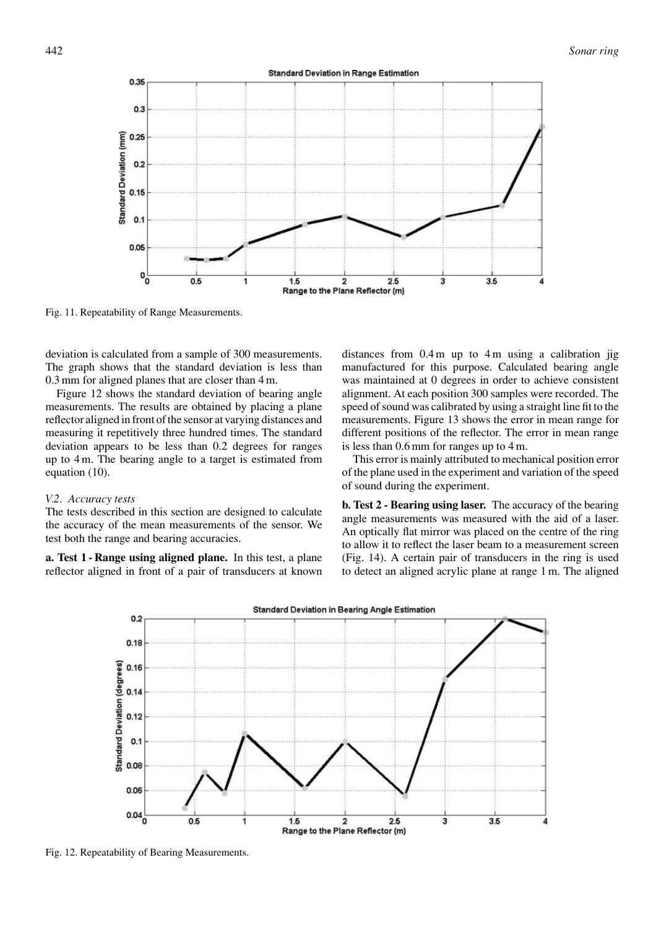

Fig. 11. Repeatability of Range Measurements.

deviation is calculated from a sample of 300 measurements. The graph shows that the standard deviation is less than 0.3 mm for aligned planes that are closer than 4 m.

Figure 12 shows the standard deviation of bearing angle measurements. The results are obtained by placing a plane reflector aligned in front of the sensor at varying distances and measuring it repetitively three hundred times. The standard deviation appears to be less than 0.2 degrees for ranges up to 4 m. The bearing angle to a target is estimated from equation (10).

## *V.2. Accuracy tests*

The tests described in this section are designed to calculate the accuracy of the mean measurements of the sensor. We test both the range and bearing accuracies.

**a. Test 1 - Range using aligned plane.** In this test, a plane reflector aligned in front of a pair of transducers at known distances from 0.4 m up to 4 m using a calibration jig manufactured for this purpose. Calculated bearing angle was maintained at 0 degrees in order to achieve consistent alignment. At each position 300 samples were recorded. The speed of sound was calibrated by using a straight line fit to the measurements. Figure 13 shows the error in mean range for different positions of the reflector. The error in mean range is less than 0.6 mm for ranges up to 4 m.

This error is mainly attributed to mechanical position error of the plane used in the experiment and variation of the speed of sound during the experiment.

**b. Test 2 - Bearing using laser.** The accuracy of the bearing angle measurements was measured with the aid of a laser. An optically flat mirror was placed on the centre of the ring to allow it to reflect the laser beam to a measurement screen (Fig. 14). A certain pair of transducers in the ring is used to detect an aligned acrylic plane at range 1 m. The aligned



Fig. 12. Repeatability of Bearing Measurements.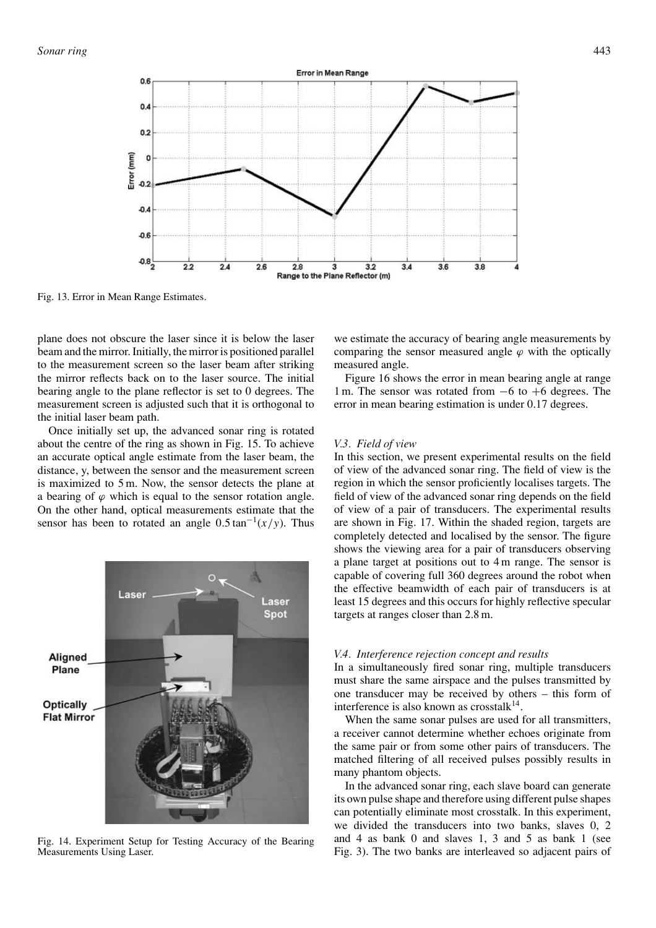

Fig. 13. Error in Mean Range Estimates.

plane does not obscure the laser since it is below the laser beam and the mirror. Initially, the mirror is positioned parallel to the measurement screen so the laser beam after striking the mirror reflects back on to the laser source. The initial bearing angle to the plane reflector is set to 0 degrees. The measurement screen is adjusted such that it is orthogonal to the initial laser beam path.

Once initially set up, the advanced sonar ring is rotated about the centre of the ring as shown in Fig. 15. To achieve an accurate optical angle estimate from the laser beam, the distance, y, between the sensor and the measurement screen is maximized to 5 m. Now, the sensor detects the plane at a bearing of  $\varphi$  which is equal to the sensor rotation angle. On the other hand, optical measurements estimate that the sensor has been to rotated an angle  $0.5 \tan^{-1}(x/y)$ . Thus



Fig. 14. Experiment Setup for Testing Accuracy of the Bearing Measurements Using Laser.

we estimate the accuracy of bearing angle measurements by comparing the sensor measured angle  $\varphi$  with the optically measured angle.

Figure 16 shows the error in mean bearing angle at range 1 m. The sensor was rotated from −6 to +6 degrees. The error in mean bearing estimation is under 0.17 degrees.

## *V.3. Field of view*

In this section, we present experimental results on the field of view of the advanced sonar ring. The field of view is the region in which the sensor proficiently localises targets. The field of view of the advanced sonar ring depends on the field of view of a pair of transducers. The experimental results are shown in Fig. 17. Within the shaded region, targets are completely detected and localised by the sensor. The figure shows the viewing area for a pair of transducers observing a plane target at positions out to 4 m range. The sensor is capable of covering full 360 degrees around the robot when the effective beamwidth of each pair of transducers is at least 15 degrees and this occurs for highly reflective specular targets at ranges closer than 2.8 m.

#### *V.4. Interference rejection concept and results*

In a simultaneously fired sonar ring, multiple transducers must share the same airspace and the pulses transmitted by one transducer may be received by others – this form of interference is also known as crosstalk $14$ .

When the same sonar pulses are used for all transmitters, a receiver cannot determine whether echoes originate from the same pair or from some other pairs of transducers. The matched filtering of all received pulses possibly results in many phantom objects.

In the advanced sonar ring, each slave board can generate its own pulse shape and therefore using different pulse shapes can potentially eliminate most crosstalk. In this experiment, we divided the transducers into two banks, slaves 0, 2 and 4 as bank 0 and slaves 1, 3 and 5 as bank 1 (see Fig. 3). The two banks are interleaved so adjacent pairs of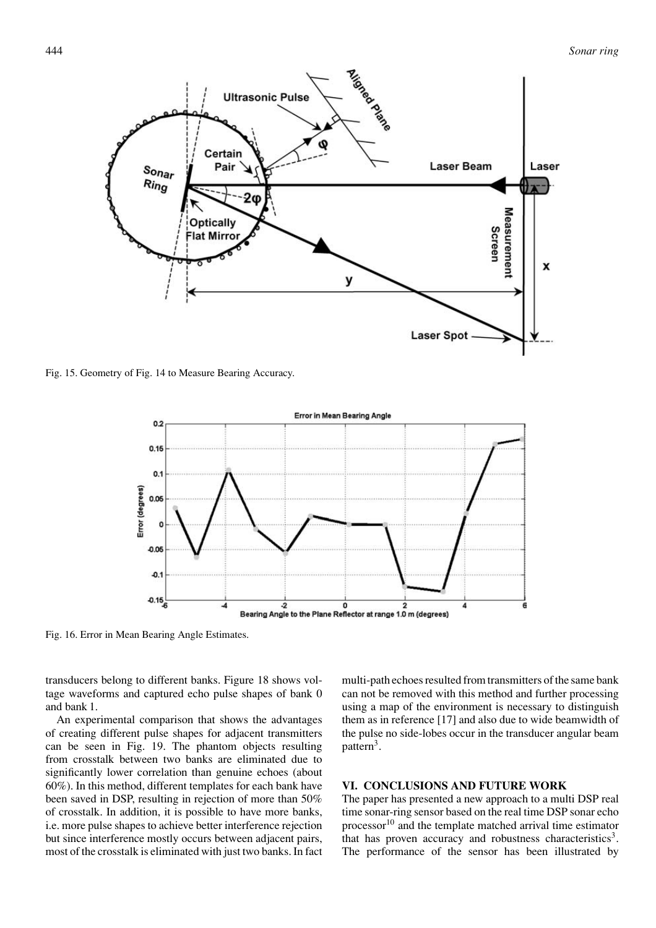

Fig. 15. Geometry of Fig. 14 to Measure Bearing Accuracy.



Fig. 16. Error in Mean Bearing Angle Estimates.

transducers belong to different banks. Figure 18 shows voltage waveforms and captured echo pulse shapes of bank 0 and bank 1.

An experimental comparison that shows the advantages of creating different pulse shapes for adjacent transmitters can be seen in Fig. 19. The phantom objects resulting from crosstalk between two banks are eliminated due to significantly lower correlation than genuine echoes (about 60%). In this method, different templates for each bank have been saved in DSP, resulting in rejection of more than 50% of crosstalk. In addition, it is possible to have more banks, i.e. more pulse shapes to achieve better interference rejection but since interference mostly occurs between adjacent pairs, most of the crosstalk is eliminated with just two banks. In fact multi-path echoes resulted from transmitters of the same bank can not be removed with this method and further processing using a map of the environment is necessary to distinguish them as in reference [17] and also due to wide beamwidth of the pulse no side-lobes occur in the transducer angular beam pattern<sup>3</sup>.

# **VI. CONCLUSIONS AND FUTURE WORK**

The paper has presented a new approach to a multi DSP real time sonar-ring sensor based on the real time DSP sonar echo processor<sup>10</sup> and the template matched arrival time estimator that has proven accuracy and robustness characteristics<sup>3</sup>. The performance of the sensor has been illustrated by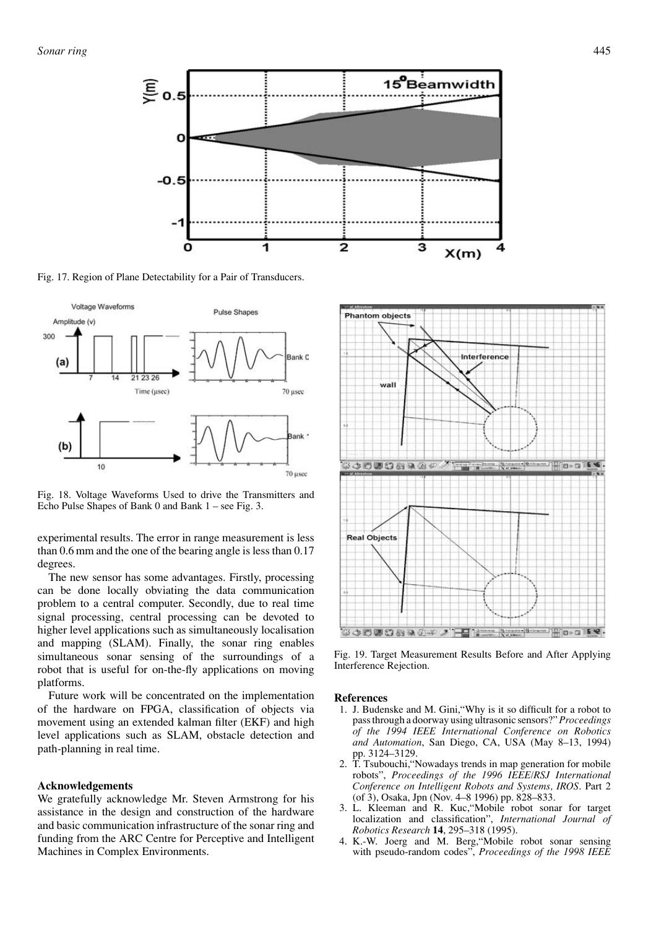

Fig. 17. Region of Plane Detectability for a Pair of Transducers.



Fig. 18. Voltage Waveforms Used to drive the Transmitters and Echo Pulse Shapes of Bank 0 and Bank 1 – see Fig. 3.

experimental results. The error in range measurement is less than 0.6 mm and the one of the bearing angle is less than 0.17 degrees.

The new sensor has some advantages. Firstly, processing can be done locally obviating the data communication problem to a central computer. Secondly, due to real time signal processing, central processing can be devoted to higher level applications such as simultaneously localisation and mapping (SLAM). Finally, the sonar ring enables simultaneous sonar sensing of the surroundings of a robot that is useful for on-the-fly applications on moving platforms.

Future work will be concentrated on the implementation of the hardware on FPGA, classification of objects via movement using an extended kalman filter (EKF) and high level applications such as SLAM, obstacle detection and path-planning in real time.

## **Acknowledgements**

We gratefully acknowledge Mr. Steven Armstrong for his assistance in the design and construction of the hardware and basic communication infrastructure of the sonar ring and funding from the ARC Centre for Perceptive and Intelligent Machines in Complex Environments.



Fig. 19. Target Measurement Results Before and After Applying Interference Rejection.

## **References**

- 1. J. Budenske and M. Gini,"Why is it so difficult for a robot to pass through a doorway using ultrasonic sensors?" *Proceedings of the 1994 IEEE International Conference on Robotics and Automation*, San Diego, CA, USA (May 8–13, 1994) pp. 3124–3129.
- 2. T. Tsubouchi,"Nowadays trends in map generation for mobile robots", *Proceedings of the 1996 IEEE/RSJ International Conference on Intelligent Robots and Systems, IROS*. Part 2 (of 3), Osaka, Jpn (Nov. 4–8 1996) pp. 828–833.
- 3. L. Kleeman and R. Kuc,"Mobile robot sonar for target localization and classification", *International Journal of Robotics Research* **14**, 295–318 (1995).
- 4. K.-W. Joerg and M. Berg,"Mobile robot sonar sensing with pseudo-random codes", *Proceedings of the 1998 IEEE*